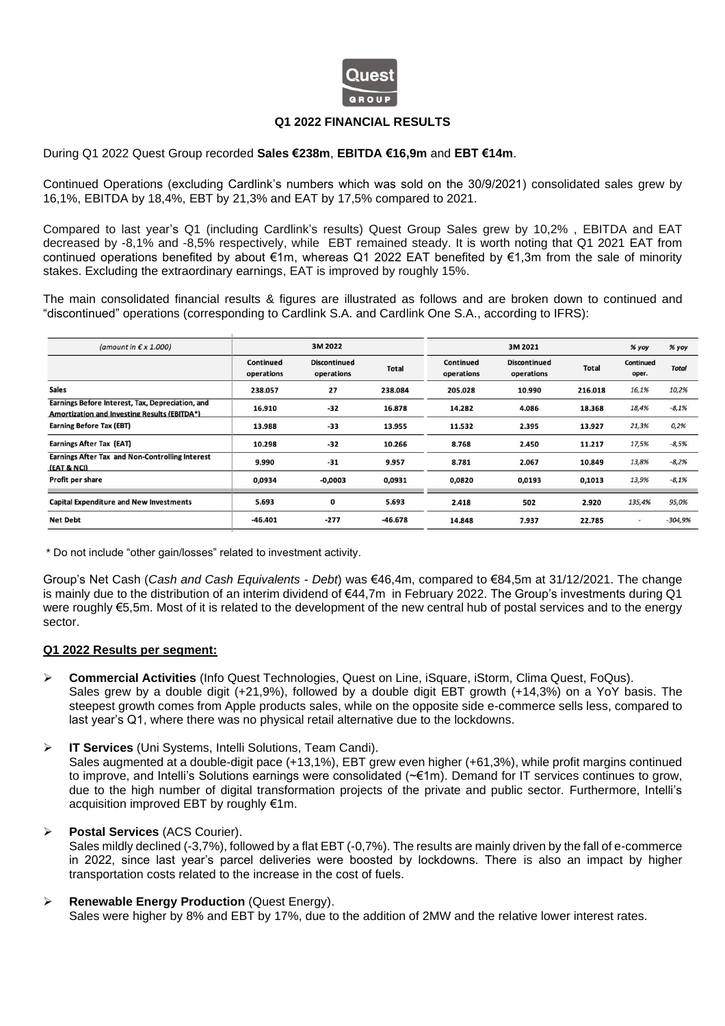

## **Q1 2022 FINANCIAL RESULTS**

## During Q1 2022 Quest Group recorded **Sales €238m**, **EBITDA €16,9m** and **EBT €14m**.

Continued Operations (excluding Cardlink's numbers which was sold on the 30/9/2021) consolidated sales grew by 16,1%, EBITDA by 18,4%, EBT by 21,3% and EAT by 17,5% compared to 2021.

Compared to last year's Q1 (including Cardlink's results) Quest Group Sales grew by 10,2% , EBITDA and EAT decreased by -8,1% and -8,5% respectively, while EBT remained steady. It is worth noting that Q1 2021 EAT from continued operations benefited by about €1m, whereas Q1 2022 EAT benefited by €1,3m from the sale of minority stakes. Excluding the extraordinary earnings, EAT is improved by roughly 15%.

The main consolidated financial results & figures are illustrated as follows and are broken down to continued and "discontinued" operations (corresponding to Cardlink S.A. and Cardlink One S.A., according to IFRS):

| (amount in $\epsilon \times 1.000$ )                                                             |                         | 3M 2022                           |              |                         | 3M 2021                           |              | % yoy                     | % yoy        |
|--------------------------------------------------------------------------------------------------|-------------------------|-----------------------------------|--------------|-------------------------|-----------------------------------|--------------|---------------------------|--------------|
|                                                                                                  | Continued<br>operations | <b>Discontinued</b><br>operations | <b>Total</b> | Continued<br>operations | <b>Discontinued</b><br>operations | <b>Total</b> | <b>Continued</b><br>oper. | <b>Total</b> |
| <b>Sales</b>                                                                                     | 238.057                 | 27                                | 238.084      | 205.028                 | 10.990                            | 216.018      | 16,1%                     | 10,2%        |
| Earnings Before Interest, Tax, Depreciation, and<br>Amortization and Investing Results (EBITDA*) | 16.910                  | $-32$                             | 16.878       | 14.282                  | 4.086                             | 18.368       | 18,4%                     | $-8,1%$      |
| <b>Earning Before Tax (EBT)</b>                                                                  | 13.988                  | $-33$                             | 13.955       | 11.532                  | 2.395                             | 13.927       | 21,3%                     | 0,2%         |
| <b>Earnings After Tax (EAT)</b>                                                                  | 10.298                  | $-32$                             | 10.266       | 8.768                   | 2.450                             | 11.217       | 17,5%                     | $-8,5%$      |
| Earnings After Tax and Non-Controlling Interest<br>(EAT & NCI)                                   | 9.990                   | $-31$                             | 9.957        | 8.781                   | 2.067                             | 10.849       | 13,8%                     | $-8,2%$      |
| Profit per share                                                                                 | 0,0934                  | $-0,0003$                         | 0,0931       | 0,0820                  | 0,0193                            | 0,1013       | 13,9%                     | $-8,1%$      |
| <b>Capital Expenditure and New Investments</b>                                                   | 5.693                   | 0                                 | 5.693        | 2.418                   | 502                               | 2.920        | 135,4%                    | 95,0%        |
| <b>Net Debt</b>                                                                                  | $-46.401$               | $-277$                            | $-46.678$    | 14.848                  | 7.937                             | 22.785       | $\overline{\phantom{a}}$  | $-304,9%$    |
|                                                                                                  |                         |                                   |              |                         |                                   |              |                           |              |

\* Do not include "other gain/losses" related to investment activity.

Group's Net Cash (*Cash and Cash Equivalents - Debt*) was €46,4m, compared to €84,5m at 31/12/2021. The change is mainly due to the distribution of an interim dividend of €44,7m in February 2022. The Group's investments during Q1 were roughly €5,5m. Most of it is related to the development of the new central hub of postal services and to the energy sector.

#### **Q1 2022 Results per segment:**

- ➢ **Commercial Activities** (Info Quest Technologies, Quest on Line, iSquare, iStorm, Clima Quest, FoQus). Sales grew by a double digit (+21,9%), followed by a double digit EBT growth (+14,3%) on a YoY basis. The steepest growth comes from Apple products sales, while on the opposite side e-commerce sells less, compared to last year's Q1, where there was no physical retail alternative due to the lockdowns.
- ➢ **IT Services** (Uni Systems, Intelli Solutions, Team Candi).

Sales augmented at a double-digit pace (+13,1%), EBT grew even higher (+61,3%), while profit margins continued to improve, and Intelli's Solutions earnings were consolidated (~€1m). Demand for IT services continues to grow, due to the high number of digital transformation projects of the private and public sector. Furthermore, Intelli's acquisition improved EBT by roughly €1m.

# ➢ **Postal Services** (ACS Courier).

Sales mildly declined (-3,7%), followed by a flat EBT (-0,7%). The results are mainly driven by the fall of e-commerce in 2022, since last year's parcel deliveries were boosted by lockdowns. There is also an impact by higher transportation costs related to the increase in the cost of fuels.

# ➢ **Renewable Energy Production** (Quest Energy).

Sales were higher by 8% and EBT by 17%, due to the addition of 2MW and the relative lower interest rates.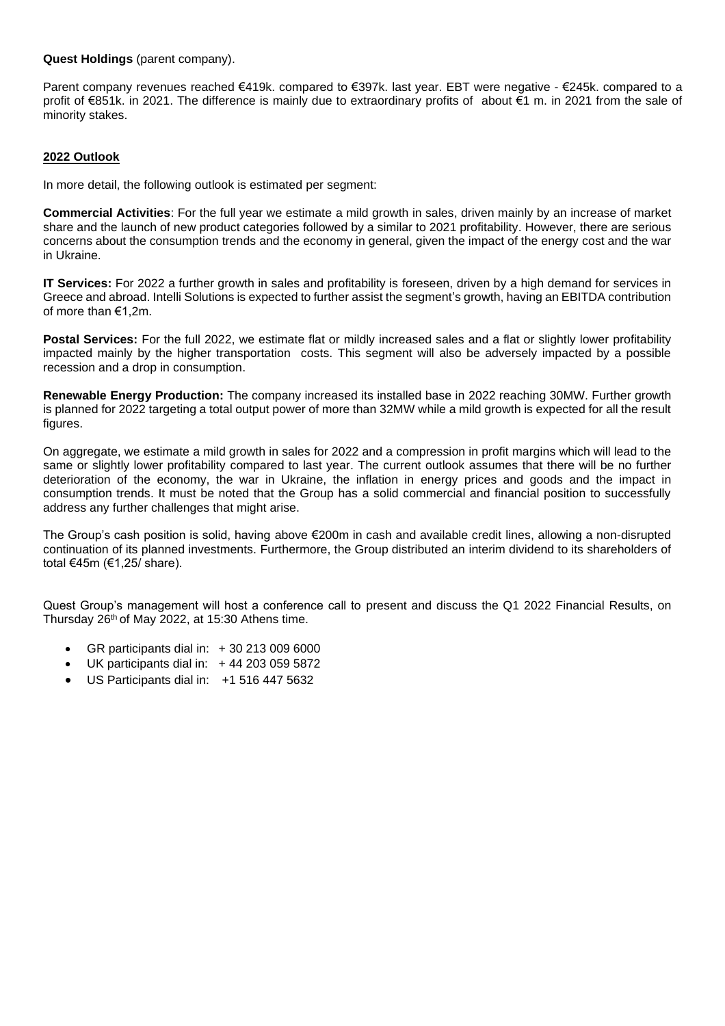## **Quest Holdings** (parent company).

Parent company revenues reached €419k. compared to €397k. last year. EBT were negative - €245k. compared to a profit of €851k. in 2021. The difference is mainly due to extraordinary profits of about €1 m. in 2021 from the sale of minority stakes.

# **2022 Outlook**

In more detail, the following outlook is estimated per segment:

**Commercial Activities**: For the full year we estimate a mild growth in sales, driven mainly by an increase of market share and the launch of new product categories followed by a similar to 2021 profitability. However, there are serious concerns about the consumption trends and the economy in general, given the impact of the energy cost and the war in Ukraine.

**IT Services:** For 2022 a further growth in sales and profitability is foreseen, driven by a high demand for services in Greece and abroad. Intelli Solutions is expected to further assist the segment's growth, having an EBITDA contribution of more than €1,2m.

**Postal Services:** For the full 2022, we estimate flat or mildly increased sales and a flat or slightly lower profitability impacted mainly by the higher transportation costs. This segment will also be adversely impacted by a possible recession and a drop in consumption.

**Renewable Energy Production:** The company increased its installed base in 2022 reaching 30MW. Further growth is planned for 2022 targeting a total output power of more than 32MW while a mild growth is expected for all the result figures.

On aggregate, we estimate a mild growth in sales for 2022 and a compression in profit margins which will lead to the same or slightly lower profitability compared to last year. The current outlook assumes that there will be no further deterioration of the economy, the war in Ukraine, the inflation in energy prices and goods and the impact in consumption trends. It must be noted that the Group has a solid commercial and financial position to successfully address any further challenges that might arise.

The Group's cash position is solid, having above €200m in cash and available credit lines, allowing a non-disrupted continuation of its planned investments. Furthermore, the Group distributed an interim dividend to its shareholders of total €45m (€1,25/ share).

Quest Group's management will host a conference call to present and discuss the Q1 2022 Financial Results, on Thursday 26<sup>th</sup> of May 2022, at 15:30 Athens time.

- GR participants dial in: + 30 213 009 6000
- UK participants dial in: +44 203 059 5872
- US Participants dial in: +1 516 447 5632